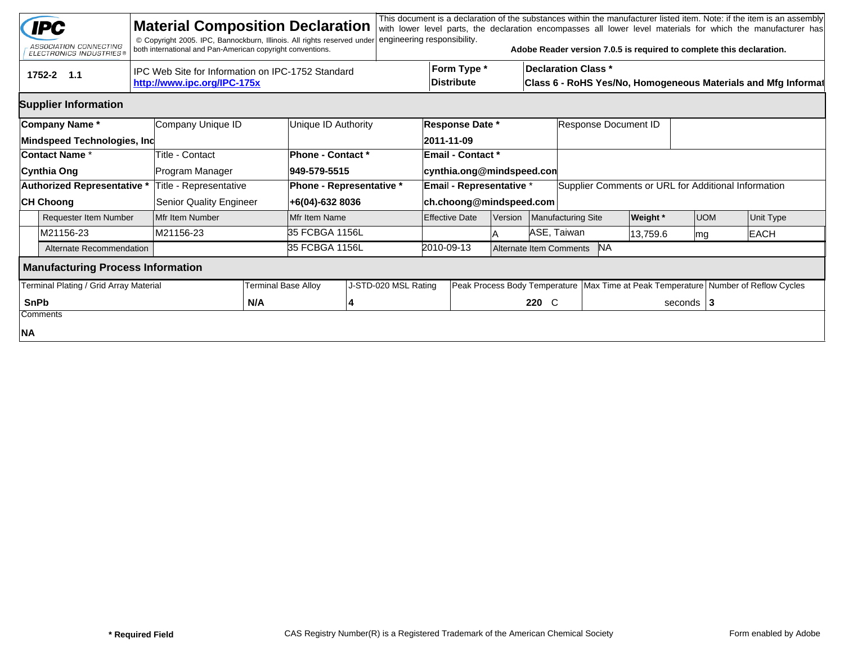|             | <b>IPC</b><br>ASSOCIATION CONNECTING<br><b>ELECTRONICS INDUSTRIES®</b> | <b>Material Composition Declaration</b><br>© Copyright 2005. IPC, Bannockburn, Illinois. All rights reserved under<br>both international and Pan-American copyright conventions. |                     |                                          | engineering responsibility.     |                                                            |         |             |                                      |                 |              | This document is a declaration of the substances within the manufacturer listed item. Note: if the item is an assembly<br>with lower level parts, the declaration encompasses all lower level materials for which the manufacturer has<br>Adobe Reader version 7.0.5 is required to complete this declaration. |
|-------------|------------------------------------------------------------------------|----------------------------------------------------------------------------------------------------------------------------------------------------------------------------------|---------------------|------------------------------------------|---------------------------------|------------------------------------------------------------|---------|-------------|--------------------------------------|-----------------|--------------|----------------------------------------------------------------------------------------------------------------------------------------------------------------------------------------------------------------------------------------------------------------------------------------------------------------|
|             | tru<br>1752-2 1.1                                                      | IPC Web Site for Information on IPC-1752 Standard<br>http://www.ipc.org/IPC-175x                                                                                                 |                     |                                          |                                 | Form Type *<br><b>Distribute</b>                           |         |             | <b>Declaration Class *</b>           |                 |              | Class 6 - RoHS Yes/No, Homogeneous Materials and Mfg Informat                                                                                                                                                                                                                                                  |
|             | <b>Supplier Information</b>                                            |                                                                                                                                                                                  |                     |                                          |                                 |                                                            |         |             |                                      |                 |              |                                                                                                                                                                                                                                                                                                                |
|             | Company Name*<br>Mindspeed Technologies, Inc                           | Company Unique ID                                                                                                                                                                |                     | Unique ID Authority                      |                                 | Response Date *<br>2011-11-09                              |         |             | Response Document ID                 |                 |              |                                                                                                                                                                                                                                                                                                                |
|             | <b>Contact Name *</b><br>Cynthia Ong                                   | Title - Contact<br>Program Manager                                                                                                                                               |                     | <b>Phone - Contact *</b><br>949-579-5515 |                                 | <b>Email - Contact *</b><br>cynthia.ong@mindspeed.con      |         |             |                                      |                 |              |                                                                                                                                                                                                                                                                                                                |
|             | Authorized Representative *<br><b>CH Choong</b>                        | Title - Representative<br>Senior Quality Engineer                                                                                                                                |                     | +6(04)-632 8036                          | <b>Phone - Representative *</b> | <b>Email - Representative *</b><br>ch.choong@mindspeed.com |         |             |                                      |                 |              | Supplier Comments or URL for Additional Information                                                                                                                                                                                                                                                            |
|             | <b>Requester Item Number</b>                                           | Mfr Item Number                                                                                                                                                                  |                     | Mfr Item Name                            |                                 | <b>Effective Date</b>                                      | Version |             | Manufacturing Site                   | <b>Weight</b> * | <b>UOM</b>   | Unit Type                                                                                                                                                                                                                                                                                                      |
|             | M21156-23                                                              | M21156-23                                                                                                                                                                        |                     | 35 FCBGA 1156L                           |                                 |                                                            |         | ASE, Taiwan |                                      | 13,759.6        | mg           | <b>EACH</b>                                                                                                                                                                                                                                                                                                    |
|             | Alternate Recommendation                                               |                                                                                                                                                                                  |                     | 35 FCBGA 1156L                           |                                 | 2010-09-13                                                 |         |             | <b>NA</b><br>Alternate Item Comments |                 |              |                                                                                                                                                                                                                                                                                                                |
|             | <b>Manufacturing Process Information</b>                               |                                                                                                                                                                                  |                     |                                          |                                 |                                                            |         |             |                                      |                 |              |                                                                                                                                                                                                                                                                                                                |
|             | Terminal Plating / Grid Array Material                                 |                                                                                                                                                                                  | Terminal Base Alloy |                                          | J-STD-020 MSL Rating            |                                                            |         |             |                                      |                 |              | Peak Process Body Temperature   Max Time at Peak Temperature   Number of Reflow Cycles                                                                                                                                                                                                                         |
| <b>SnPb</b> | Comments                                                               |                                                                                                                                                                                  | N/A                 |                                          |                                 |                                                            |         | 220 C       |                                      |                 | seconds $ 3$ |                                                                                                                                                                                                                                                                                                                |
| NA          |                                                                        |                                                                                                                                                                                  |                     |                                          |                                 |                                                            |         |             |                                      |                 |              |                                                                                                                                                                                                                                                                                                                |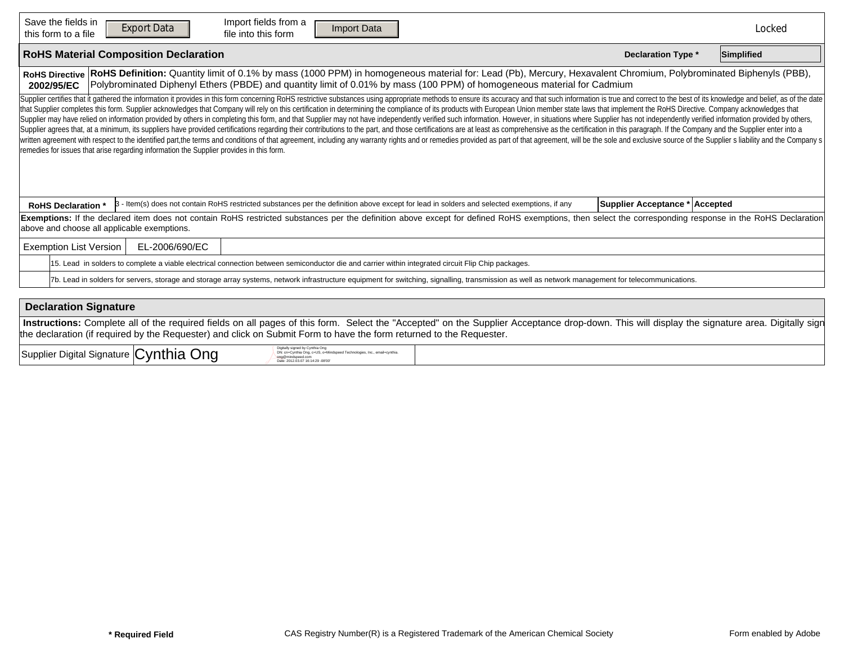| Save the fields in<br>Import fields from a<br><b>Export Data</b><br><b>Import Data</b><br><b>Reset Form</b><br>file into this form<br>this form to a file                                                                                                                                                                                                                                                                                                                                                                                                                                                                                                                                                                                                                                                                                                                                                                                                                                                                                                                                                                                                                                                                                                         |                                                                                                                                                                                                    | Locked |  |  |  |  |  |  |  |  |  |  |  |
|-------------------------------------------------------------------------------------------------------------------------------------------------------------------------------------------------------------------------------------------------------------------------------------------------------------------------------------------------------------------------------------------------------------------------------------------------------------------------------------------------------------------------------------------------------------------------------------------------------------------------------------------------------------------------------------------------------------------------------------------------------------------------------------------------------------------------------------------------------------------------------------------------------------------------------------------------------------------------------------------------------------------------------------------------------------------------------------------------------------------------------------------------------------------------------------------------------------------------------------------------------------------|----------------------------------------------------------------------------------------------------------------------------------------------------------------------------------------------------|--------|--|--|--|--|--|--|--|--|--|--|--|
| <b>RoHS Material Composition Declaration</b><br>Simplified<br><b>Declaration Type *</b>                                                                                                                                                                                                                                                                                                                                                                                                                                                                                                                                                                                                                                                                                                                                                                                                                                                                                                                                                                                                                                                                                                                                                                           |                                                                                                                                                                                                    |        |  |  |  |  |  |  |  |  |  |  |  |
| RoHS Definition: Quantity limit of 0.1% by mass (1000 PPM) in homogeneous material for: Lead (Pb), Mercury, Hexavalent Chromium, Polybrominated Biphenyls (PBB),<br><b>RoHS Directive</b><br>Polybrominated Diphenyl Ethers (PBDE) and quantity limit of 0.01% by mass (100 PPM) of homogeneous material for Cadmium<br>2002/95/EC                                                                                                                                                                                                                                                                                                                                                                                                                                                                                                                                                                                                                                                                                                                                                                                                                                                                                                                                |                                                                                                                                                                                                    |        |  |  |  |  |  |  |  |  |  |  |  |
| Supplier certifies that it gathered the information it provides in this form concerning RoHS restrictive substances using appropriate methods to ensure its accuracy and that such information is true and correct to the best<br>that Supplier completes this form. Supplier acknowledges that Company will rely on this certification in determining the compliance of its products with European Union member state laws that implement the RoHS Directive. C<br>Supplier may have relied on information provided by others in completing this form, and that Supplier may not have independently verified such information. However, in situations where Supplier has not independently verifi<br>Supplier agrees that, at a minimum, its suppliers have provided certifications regarding their contributions to the part, and those certifications are at least as comprehensive as the certification in this paragraph. If th<br>written agreement with respect to the identified part, the terms and conditions of that agreement, including any warranty rights and or remedies provided as part of that agreement, will be the sole and exclusive source of<br>remedies for issues that arise regarding information the Supplier provides in this form. |                                                                                                                                                                                                    |        |  |  |  |  |  |  |  |  |  |  |  |
| 3 - Item(s) does not contain RoHS restricted substances per the definition above except for lead in solders and selected exemptions, if any<br><b>RoHS Declaration</b>                                                                                                                                                                                                                                                                                                                                                                                                                                                                                                                                                                                                                                                                                                                                                                                                                                                                                                                                                                                                                                                                                            | Supplier Acceptance * Accepted                                                                                                                                                                     |        |  |  |  |  |  |  |  |  |  |  |  |
| Exemptions: If the declared item does not contain RoHS restricted substances per the definition above except for defined RoHS exemptions, then select the corresponding response in the RoHS Declaration<br>above and choose all applicable exemptions.                                                                                                                                                                                                                                                                                                                                                                                                                                                                                                                                                                                                                                                                                                                                                                                                                                                                                                                                                                                                           |                                                                                                                                                                                                    |        |  |  |  |  |  |  |  |  |  |  |  |
| <b>Exemption List Version</b><br>EL-2006/690/EC                                                                                                                                                                                                                                                                                                                                                                                                                                                                                                                                                                                                                                                                                                                                                                                                                                                                                                                                                                                                                                                                                                                                                                                                                   |                                                                                                                                                                                                    |        |  |  |  |  |  |  |  |  |  |  |  |
| 15. Lead in solders to complete a viable electrical connection between semiconductor die and carrier within integrated circuit Flip Chip packages.                                                                                                                                                                                                                                                                                                                                                                                                                                                                                                                                                                                                                                                                                                                                                                                                                                                                                                                                                                                                                                                                                                                |                                                                                                                                                                                                    |        |  |  |  |  |  |  |  |  |  |  |  |
|                                                                                                                                                                                                                                                                                                                                                                                                                                                                                                                                                                                                                                                                                                                                                                                                                                                                                                                                                                                                                                                                                                                                                                                                                                                                   | 7b. Lead in solders for servers, storage and storage array systems, network infrastructure equipment for switching, signalling, transmission as well as network management for telecommunications. |        |  |  |  |  |  |  |  |  |  |  |  |

| <b>Declaration Signature</b>                                                                                        |                                                                                                                                                                                               |
|---------------------------------------------------------------------------------------------------------------------|-----------------------------------------------------------------------------------------------------------------------------------------------------------------------------------------------|
|                                                                                                                     | Instructions: Complete all of the required fields on all pages of this form. Select the "Accepted" on the Supplier Acceptance drop-down. This will display the signature area. Digitally sign |
| the declaration (if required by the Requester) and click on Submit Form to have the form returned to the Requester. |                                                                                                                                                                                               |
| Digitally signed by Cynthia Ong                                                                                     |                                                                                                                                                                                               |

| ed by Cynthi <sup>-</sup><br>Supplier Digital Signature Cynthia<br>Ong<br>Cynthia Ong, c=US, o=Mindspeed Technologies, Inc., email=cynthia.<br>3.07.16:14:29 -08:0 |  |
|--------------------------------------------------------------------------------------------------------------------------------------------------------------------|--|
|--------------------------------------------------------------------------------------------------------------------------------------------------------------------|--|

 $\Gamma$ 

h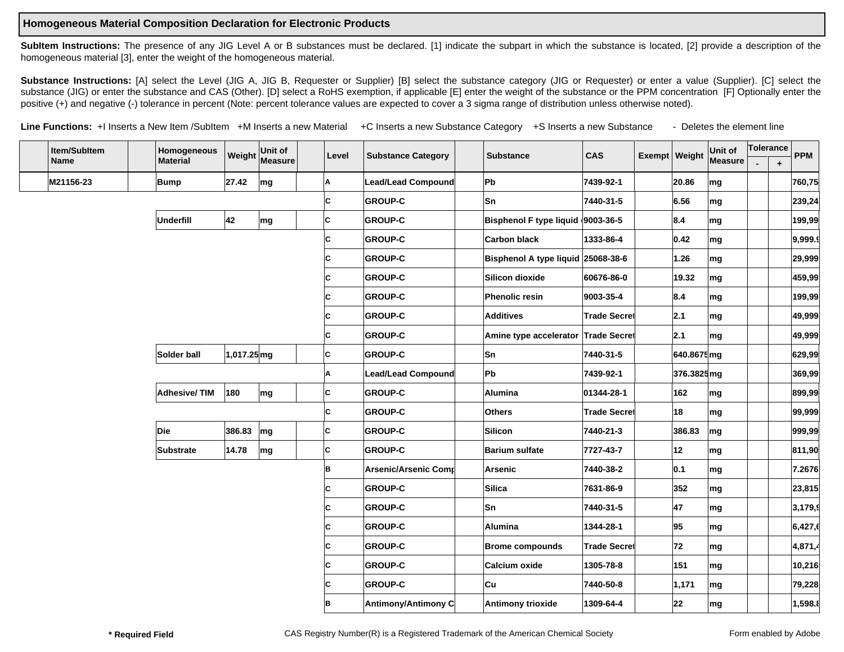## **Homogeneous Material Composition Declaration for Electronic Products**

SubItem Instructions: The presence of any JIG Level A or B substances must be declared. [1] indicate the subpart in which the substance is located, [2] provide a description of the homogeneous material [3], enter the weight of the homogeneous material.

Substance Instructions: [A] select the Level (JIG A, JIG B, Requester or Supplier) [B] select the substance category (JIG or Requester) or enter a value (Supplier). [C] select the substance (JIG) or enter the substance and CAS (Other). [D] select a RoHS exemption, if applicable [E] enter the weight of the substance or the PPM concentration [F] Optionally enter the positive (+) and negative (-) tolerance in percent (Note: percent tolerance values are expected to cover a 3 sigma range of distribution unless otherwise noted).

Line Functions: +I Inserts a New Item /SubItem +M Inserts a new Material +C Inserts a new Substance Category +S Inserts a new Substance - Deletes the element line

| Item/SubItem |                   | Homogeneous |                                                                                                                       | Unit of |                                                     |         |                                                                                                                                                                                                                                            |                           |                           |                                     |                                                                                              |                                                                                     | Unit of                                                                                                                                                                                                                                                                                                                                                                                                                                                                                            |                                                                                        |            | <b>PPM</b> |
|--------------|-------------------|-------------|-----------------------------------------------------------------------------------------------------------------------|---------|-----------------------------------------------------|---------|--------------------------------------------------------------------------------------------------------------------------------------------------------------------------------------------------------------------------------------------|---------------------------|---------------------------|-------------------------------------|----------------------------------------------------------------------------------------------|-------------------------------------------------------------------------------------|----------------------------------------------------------------------------------------------------------------------------------------------------------------------------------------------------------------------------------------------------------------------------------------------------------------------------------------------------------------------------------------------------------------------------------------------------------------------------------------------------|----------------------------------------------------------------------------------------|------------|------------|
|              |                   |             |                                                                                                                       |         |                                                     |         |                                                                                                                                                                                                                                            |                           |                           |                                     |                                                                                              |                                                                                     |                                                                                                                                                                                                                                                                                                                                                                                                                                                                                                    |                                                                                        | $\ddot{+}$ |            |
|              |                   |             | 27.42                                                                                                                 |         |                                                     | A       |                                                                                                                                                                                                                                            |                           | Pb                        | 7439-92-1                           |                                                                                              |                                                                                     | mg                                                                                                                                                                                                                                                                                                                                                                                                                                                                                                 |                                                                                        |            | 760,75     |
|              |                   |             |                                                                                                                       |         | +c                                                  |         | <b>GROUP-C</b>                                                                                                                                                                                                                             |                           | Sn                        | 7440-31-5                           |                                                                                              |                                                                                     | mg                                                                                                                                                                                                                                                                                                                                                                                                                                                                                                 |                                                                                        |            | 239,24     |
|              |                   |             | 42                                                                                                                    |         |                                                     | Iс      | <b>GROUP-C</b>                                                                                                                                                                                                                             |                           |                           |                                     |                                                                                              |                                                                                     | mg                                                                                                                                                                                                                                                                                                                                                                                                                                                                                                 |                                                                                        |            | 199,99     |
|              |                   |             |                                                                                                                       |         | +c                                                  |         | <b>GROUP-C</b>                                                                                                                                                                                                                             |                           | <b>Carbon black</b>       | 1333-86-4                           |                                                                                              |                                                                                     | mg                                                                                                                                                                                                                                                                                                                                                                                                                                                                                                 |                                                                                        |            | 9,999.9    |
|              |                   |             |                                                                                                                       |         | ⊦c∣                                                 |         | <b>GROUP-C</b>                                                                                                                                                                                                                             |                           |                           |                                     |                                                                                              | 1.26                                                                                | $\mathsf{Im}\mathsf{g}$                                                                                                                                                                                                                                                                                                                                                                                                                                                                            |                                                                                        |            | 29,999     |
|              |                   |             |                                                                                                                       |         | ۰d                                                  |         | <b>GROUP-C</b>                                                                                                                                                                                                                             |                           | Silicon dioxide           | 60676-86-0                          |                                                                                              | 19.32                                                                               | mg                                                                                                                                                                                                                                                                                                                                                                                                                                                                                                 |                                                                                        |            | 459,99     |
|              |                   |             |                                                                                                                       |         | +C                                                  |         | <b>GROUP-C</b>                                                                                                                                                                                                                             |                           | Phenolic resin            | 9003-35-4                           |                                                                                              |                                                                                     | mg                                                                                                                                                                                                                                                                                                                                                                                                                                                                                                 |                                                                                        |            | 199,99     |
|              |                   |             |                                                                                                                       |         | اrc∤                                                |         | <b>GROUP-C</b>                                                                                                                                                                                                                             |                           | Additives                 |                                     |                                                                                              |                                                                                     | mg                                                                                                                                                                                                                                                                                                                                                                                                                                                                                                 |                                                                                        |            | 49,999     |
|              |                   |             |                                                                                                                       |         | $+ c$                                               |         | <b>GROUP-C</b>                                                                                                                                                                                                                             |                           |                           |                                     |                                                                                              |                                                                                     | mg                                                                                                                                                                                                                                                                                                                                                                                                                                                                                                 |                                                                                        |            | 49,999     |
|              |                   |             |                                                                                                                       |         |                                                     | Iс      | <b>GROUP-C</b>                                                                                                                                                                                                                             |                           |                           | 7440-31-5                           |                                                                                              |                                                                                     |                                                                                                                                                                                                                                                                                                                                                                                                                                                                                                    |                                                                                        |            | 629,99     |
|              |                   |             |                                                                                                                       |         |                                                     |         | Lead/Lead Compound                                                                                                                                                                                                                         |                           |                           | 7439-92-1                           |                                                                                              |                                                                                     |                                                                                                                                                                                                                                                                                                                                                                                                                                                                                                    |                                                                                        |            | 369,99     |
|              |                   |             | 180                                                                                                                   |         |                                                     | Iс      | <b>GROUP-C</b>                                                                                                                                                                                                                             |                           | Alumina                   |                                     |                                                                                              |                                                                                     | mg                                                                                                                                                                                                                                                                                                                                                                                                                                                                                                 |                                                                                        |            | 899,99     |
|              |                   |             |                                                                                                                       |         |                                                     |         | <b>GROUP-C</b>                                                                                                                                                                                                                             |                           | Others                    | <b>Trade Secret</b>                 |                                                                                              |                                                                                     | mg                                                                                                                                                                                                                                                                                                                                                                                                                                                                                                 |                                                                                        |            | 99,999     |
|              |                   |             | 386.83                                                                                                                |         |                                                     | C       | <b>GROUP-C</b>                                                                                                                                                                                                                             |                           | Silicon                   | 7440-21-3                           |                                                                                              | 386.83                                                                              | mg                                                                                                                                                                                                                                                                                                                                                                                                                                                                                                 |                                                                                        |            | 999,99     |
|              |                   |             | 14.78                                                                                                                 |         |                                                     | Iс      | <b>GROUP-C</b>                                                                                                                                                                                                                             |                           | <b>Barium sulfate</b>     | 7727-43-7                           |                                                                                              |                                                                                     | mg                                                                                                                                                                                                                                                                                                                                                                                                                                                                                                 |                                                                                        |            | 811,90     |
|              |                   |             |                                                                                                                       |         |                                                     |         | Arsenic/Arsenic Comr                                                                                                                                                                                                                       |                           | Arsenic                   | 7440-38-2                           |                                                                                              |                                                                                     | mg                                                                                                                                                                                                                                                                                                                                                                                                                                                                                                 |                                                                                        |            | 7.2676     |
|              |                   |             |                                                                                                                       |         | ⊦d                                                  |         | <b>GROUP-C</b>                                                                                                                                                                                                                             |                           | Silica                    | 7631-86-9                           |                                                                                              |                                                                                     | mg                                                                                                                                                                                                                                                                                                                                                                                                                                                                                                 |                                                                                        |            | 23,815     |
|              |                   |             |                                                                                                                       |         | ⊦d                                                  |         | <b>GROUP-C</b>                                                                                                                                                                                                                             |                           | Sn                        | 7440-31-5                           |                                                                                              |                                                                                     | mg                                                                                                                                                                                                                                                                                                                                                                                                                                                                                                 |                                                                                        |            | 3,179,9    |
|              |                   |             |                                                                                                                       |         | +C                                                  |         | <b>GROUP-C</b>                                                                                                                                                                                                                             |                           | Alumina                   | 1344-28-1                           |                                                                                              |                                                                                     | mg                                                                                                                                                                                                                                                                                                                                                                                                                                                                                                 |                                                                                        |            | 6,427,6    |
|              |                   |             |                                                                                                                       |         | ۰c                                                  |         | <b>GROUP-C</b>                                                                                                                                                                                                                             |                           | <b>Brome compounds</b>    |                                     |                                                                                              |                                                                                     | mg                                                                                                                                                                                                                                                                                                                                                                                                                                                                                                 |                                                                                        |            | 4,871,4    |
|              |                   |             |                                                                                                                       |         | ۰d                                                  |         | <b>GROUP-C</b>                                                                                                                                                                                                                             |                           | Calcium oxide             | 1305-78-8                           |                                                                                              | 151                                                                                 | mg                                                                                                                                                                                                                                                                                                                                                                                                                                                                                                 |                                                                                        |            | 10,216     |
|              |                   |             |                                                                                                                       |         | ۰d                                                  |         | <b>GROUP-C</b>                                                                                                                                                                                                                             |                           | <b>Cu</b>                 | 7440-50-8                           |                                                                                              | 1,171                                                                               | mg                                                                                                                                                                                                                                                                                                                                                                                                                                                                                                 |                                                                                        |            | 79,228     |
|              |                   |             |                                                                                                                       |         | +C                                                  |         | Antimony/Antimony C                                                                                                                                                                                                                        |                           | Antimony trioxide         | 1309-64-4                           |                                                                                              |                                                                                     | mg                                                                                                                                                                                                                                                                                                                                                                                                                                                                                                 |                                                                                        |            | 1,598.8    |
|              | Name<br>M21156-23 |             | <b>Material</b><br><b>Bump</b><br>+M-MUnderfill<br>+M-MSolder ball<br>+M -M Adhesive/ TIM<br>+M-MDie<br>+M-MSubstrate |         | Weight<br>mg<br>mg<br>1,017.25 mg<br>mg<br>mg<br>mg | Measure | Level<br>$-c c $<br>$-c c $<br>$-c c $<br>$-c c $<br>$-c c $<br>$-c c $<br>$-c c $<br>+C <mark>l</mark> -C  <sub>A</sub><br>+c -c  <sub>c</sub><br>+c <b> </b> -c в<br>$-c c $<br>$-c c $<br>$-c c $<br>$-c c $<br>$-c c $<br>-c c<br>-c в | <b>Substance Category</b> | <b>Lead/Lead Compound</b> | <b>Substance</b><br><b>Sn</b><br>Pb | CAS<br>Bisphenol F type liquid 9003-36-5<br>Bisphenol A type liquid 25068-38-6<br>01344-28-1 | <b>Trade Secre</b> ∥<br>Amine type accelerator Trade Secret<br><b>Trade Secre</b> ∥ | $\mathbf{Q}$ 20.86<br>$\mathbf{F}$ 6.56<br>$\mathbf{R}$ 8.4<br>$\mathbf{I}$ 0.42<br>$\left  \mathbf{v} \right $<br>$\blacktriangledown$<br>$\blacktriangledown$ 8.4<br>$\mathbf{I}_{2.1}$<br>$\mathbf{I}_{2.1}$<br>$\overline{\mathbf{y}}$ 162<br>$\mathbf{F}$ 18<br>$\left  \mathbf{v} \right $<br>$\mathbf{F}$ 12<br>$\mathbf{I}$ 0.1<br>$\mathbf{F}$ 352<br>$\mathbf{I}$ 47<br>$\mathbf{I}$   95<br>$\mathbf{F}$ 72<br>$\left  \mathbf{v} \right $<br>$\left  \cdot \right $<br>$\mathbf{I}$ 22 | Exempt   Weight<br><b>Measure</b><br>▼ 640.8675 mg<br>$\blacktriangledown$ 376.3825 mg |            | Tolerance  |